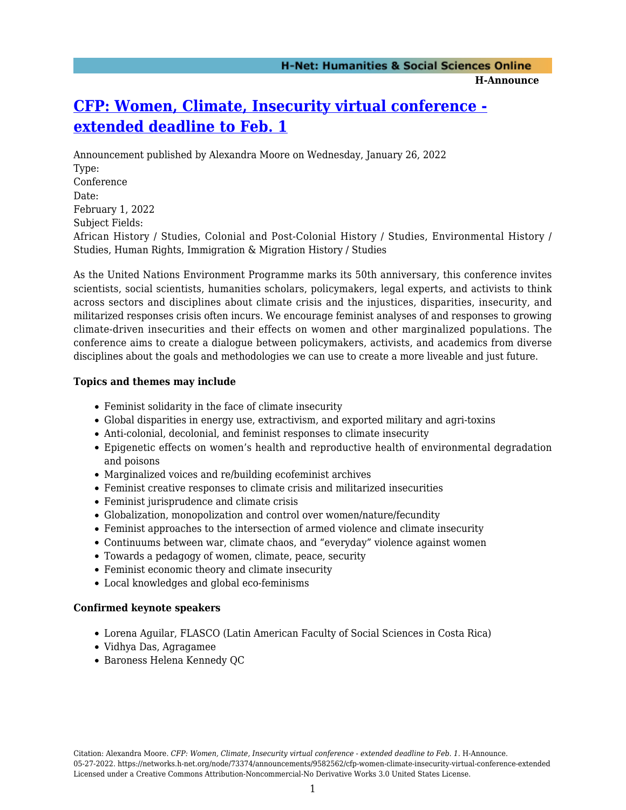# **[CFP: Women, Climate, Insecurity virtual conference](https://networks.h-net.org/node/73374/announcements/9582562/cfp-women-climate-insecurity-virtual-conference-extended)  [extended deadline to Feb. 1](https://networks.h-net.org/node/73374/announcements/9582562/cfp-women-climate-insecurity-virtual-conference-extended)**

Announcement published by Alexandra Moore on Wednesday, January 26, 2022 Type: Conference Date: February 1, 2022 Subject Fields: African History / Studies, Colonial and Post-Colonial History / Studies, Environmental History / Studies, Human Rights, Immigration & Migration History / Studies

As the United Nations Environment Programme marks its 50th anniversary, this conference invites scientists, social scientists, humanities scholars, policymakers, legal experts, and activists to think across sectors and disciplines about climate crisis and the injustices, disparities, insecurity, and militarized responses crisis often incurs. We encourage feminist analyses of and responses to growing climate-driven insecurities and their effects on women and other marginalized populations. The conference aims to create a dialogue between policymakers, activists, and academics from diverse disciplines about the goals and methodologies we can use to create a more liveable and just future.

## **Topics and themes may include**

- Feminist solidarity in the face of climate insecurity
- Global disparities in energy use, extractivism, and exported military and agri-toxins
- Anti-colonial, decolonial, and feminist responses to climate insecurity
- Epigenetic effects on women's health and reproductive health of environmental degradation and poisons
- Marginalized voices and re/building ecofeminist archives
- Feminist creative responses to climate crisis and militarized insecurities
- Feminist jurisprudence and climate crisis
- Globalization, monopolization and control over women/nature/fecundity
- Feminist approaches to the intersection of armed violence and climate insecurity
- Continuums between war, climate chaos, and "everyday" violence against women
- Towards a pedagogy of women, climate, peace, security
- Feminist economic theory and climate insecurity
- Local knowledges and global eco-feminisms

## **Confirmed keynote speakers**

- Lorena Aguilar, FLASCO (Latin American Faculty of Social Sciences in Costa Rica)
- Vidhya Das, Agragamee
- Baroness Helena Kennedy QC